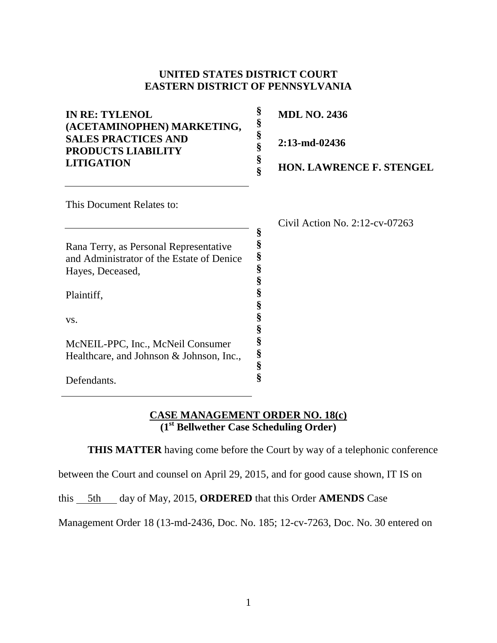#### **UNITED STATES DISTRICT COURT EASTERN DISTRICT OF PENNSYLVANIA**

| <b>IN RE: TYLENOL</b><br>(ACETAMINOPHEN) MARKETING,<br><b>SALES PRACTICES AND</b><br><b>PRODUCTS LIABILITY</b> | §<br>§<br>§ | <b>MDL NO. 2436</b><br>$2:13$ -md-02436 |
|----------------------------------------------------------------------------------------------------------------|-------------|-----------------------------------------|
|                                                                                                                |             |                                         |
| <b>LITIGATION</b>                                                                                              | §           | <b>HON. LAWRENCE F. STENGEL</b>         |
| This Document Relates to:                                                                                      |             |                                         |
|                                                                                                                |             | Civil Action No. 2:12-cv-07263          |
| Rana Terry, as Personal Representative                                                                         | §           |                                         |
| and Administrator of the Estate of Denice                                                                      | §           |                                         |
| Hayes, Deceased,                                                                                               | §           |                                         |
|                                                                                                                |             |                                         |
| Plaintiff,                                                                                                     |             |                                         |
|                                                                                                                | §           |                                         |
| VS.                                                                                                            |             |                                         |
|                                                                                                                |             |                                         |
| McNEIL-PPC, Inc., McNeil Consumer                                                                              |             |                                         |

## **CASE MANAGEMENT ORDER NO. 18(c) (1st Bellwether Case Scheduling Order)**

**THIS MATTER** having come before the Court by way of a telephonic conference

**§ § §**

between the Court and counsel on April 29, 2015, and for good cause shown, IT IS on

this 5th day of May, 2015, **ORDERED** that this Order **AMENDS** Case

Healthcare, and Johnson & Johnson, Inc.,

Defendants.

Management Order 18 (13-md-2436, Doc. No. 185; 12-cv-7263, Doc. No. 30 entered on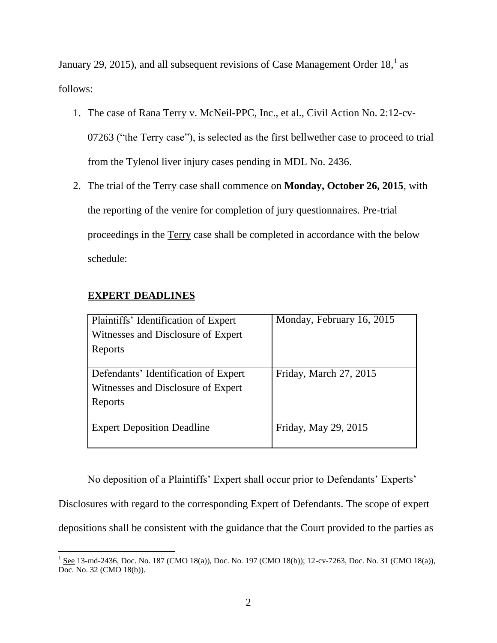January 29, 2015), and all subsequent revisions of Case Management Order  $18<sup>1</sup>$  as follows:

- 1. The case of Rana Terry v. McNeil-PPC, Inc., et al., Civil Action No. 2:12-cv-07263 ("the Terry case"), is selected as the first bellwether case to proceed to trial from the Tylenol liver injury cases pending in MDL No. 2436.
- 2. The trial of the Terry case shall commence on **Monday, October 26, 2015**, with the reporting of the venire for completion of jury questionnaires. Pre-trial proceedings in the Terry case shall be completed in accordance with the below schedule:

## **EXPERT DEADLINES**

| Plaintiffs' Identification of Expert | Monday, February 16, 2015 |
|--------------------------------------|---------------------------|
| Witnesses and Disclosure of Expert   |                           |
| Reports                              |                           |
|                                      |                           |
| Defendants' Identification of Expert | Friday, March 27, 2015    |
| Witnesses and Disclosure of Expert   |                           |
| Reports                              |                           |
|                                      |                           |
| <b>Expert Deposition Deadline</b>    | Friday, May 29, 2015      |
|                                      |                           |

No deposition of a Plaintiffs' Expert shall occur prior to Defendants' Experts' Disclosures with regard to the corresponding Expert of Defendants. The scope of expert depositions shall be consistent with the guidance that the Court provided to the parties as

 $\overline{\phantom{a}}$  $1 \text{ See } 13\text{-}$ md-2436, Doc. No. 187 (CMO 18(a)), Doc. No. 197 (CMO 18(b)); 12-cv-7263, Doc. No. 31 (CMO 18(a)), Doc. No. 32 (CMO 18(b)).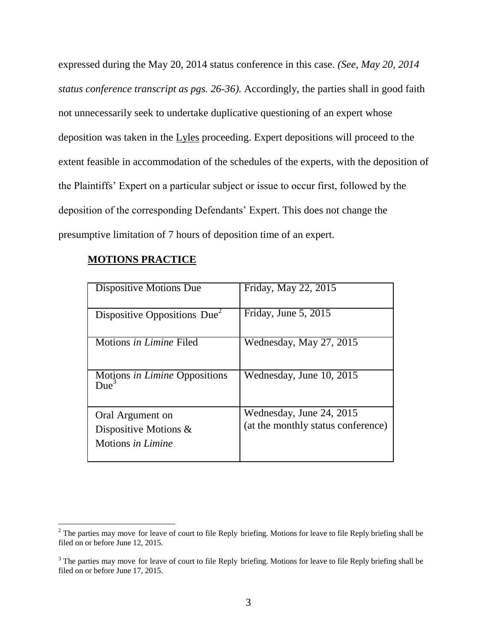expressed during the May 20, 2014 status conference in this case. *(See, May 20, 2014 status conference transcript as pgs. 26-36).* Accordingly, the parties shall in good faith not unnecessarily seek to undertake duplicative questioning of an expert whose deposition was taken in the Lyles proceeding. Expert depositions will proceed to the extent feasible in accommodation of the schedules of the experts, with the deposition of the Plaintiffs' Expert on a particular subject or issue to occur first, followed by the deposition of the corresponding Defendants' Expert. This does not change the presumptive limitation of 7 hours of deposition time of an expert.

#### **MOTIONS PRACTICE**

l

| Dispositive Motions Due                         | Friday, May 22, 2015               |
|-------------------------------------------------|------------------------------------|
| Dispositive Oppositions $Due2$                  | Friday, June 5, 2015               |
| Motions in Limine Filed                         | Wednesday, May 27, 2015            |
| Motions in Limine Oppositions<br>$\text{Die}^3$ | Wednesday, June 10, 2015           |
| Oral Argument on                                | Wednesday, June 24, 2015           |
| Dispositive Motions $\&$                        | (at the monthly status conference) |
| Motions in Limine                               |                                    |

 $2^2$  The parties may move for leave of court to file Reply briefing. Motions for leave to file Reply briefing shall be filed on or before June 12, 2015.

<sup>&</sup>lt;sup>3</sup> The parties may move for leave of court to file Reply briefing. Motions for leave to file Reply briefing shall be filed on or before June 17, 2015.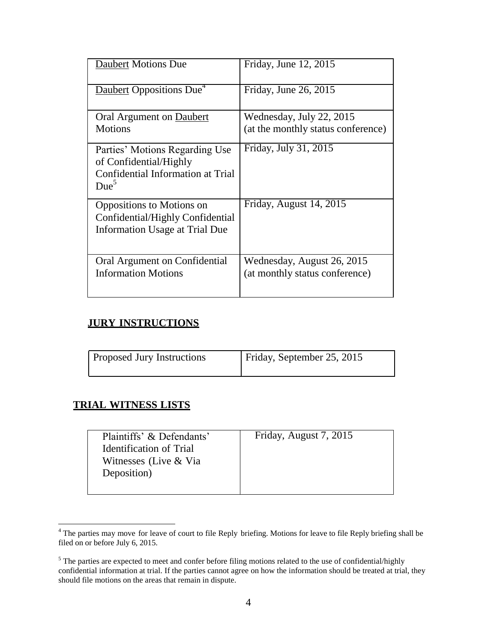| <b>Daubert Motions Due</b>                                                                                        | Friday, June 12, 2015                                        |
|-------------------------------------------------------------------------------------------------------------------|--------------------------------------------------------------|
| Daubert Oppositions Due <sup>4</sup>                                                                              | Friday, June 26, 2015                                        |
| Oral Argument on Daubert                                                                                          | Wednesday, July 22, 2015                                     |
| <b>Motions</b>                                                                                                    | (at the monthly status conference)                           |
| Parties' Motions Regarding Use<br>of Confidential/Highly<br>Confidential Information at Trial<br>Due <sup>5</sup> | Friday, July 31, 2015                                        |
| Oppositions to Motions on<br>Confidential/Highly Confidential<br><b>Information Usage at Trial Due</b>            | Friday, August 14, 2015                                      |
| Oral Argument on Confidential<br><b>Information Motions</b>                                                       | Wednesday, August 26, 2015<br>(at monthly status conference) |

## **JURY INSTRUCTIONS**

| Proposed Jury Instructions | Friday, September 25, 2015 |
|----------------------------|----------------------------|
|                            |                            |

## **TRIAL WITNESS LISTS**

| Plaintiffs' & Defendants'      | Friday, August 7, 2015 |
|--------------------------------|------------------------|
| <b>Identification of Trial</b> |                        |
| Witnesses (Live & Via          |                        |
| Deposition)                    |                        |
|                                |                        |

l <sup>4</sup> The parties may move for leave of court to file Reply briefing. Motions for leave to file Reply briefing shall be filed on or before July 6, 2015.

<sup>&</sup>lt;sup>5</sup> The parties are expected to meet and confer before filing motions related to the use of confidential/highly confidential information at trial. If the parties cannot agree on how the information should be treated at trial, they should file motions on the areas that remain in dispute.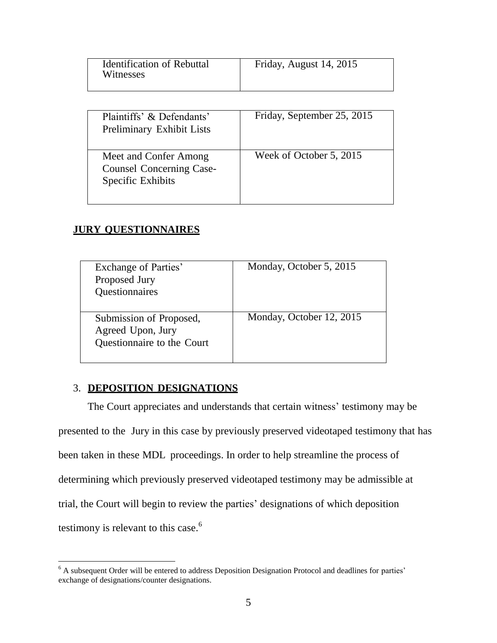| <b>Identification of Rebuttal</b><br>Witnesses | Friday, August 14, 2015 |
|------------------------------------------------|-------------------------|
|                                                |                         |

| Plaintiffs' & Defendants'<br>Preliminary Exhibit Lists                        | Friday, September 25, 2015 |
|-------------------------------------------------------------------------------|----------------------------|
| Meet and Confer Among<br><b>Counsel Concerning Case-</b><br>Specific Exhibits | Week of October 5, 2015    |

## **JURY QUESTIONNAIRES**

| Exchange of Parties'<br>Proposed Jury<br>Questionnaires                    | Monday, October 5, 2015  |
|----------------------------------------------------------------------------|--------------------------|
| Submission of Proposed,<br>Agreed Upon, Jury<br>Questionnaire to the Court | Monday, October 12, 2015 |

## 3. **DEPOSITION DESIGNATIONS**

 $\overline{\phantom{a}}$ 

The Court appreciates and understands that certain witness' testimony may be presented to the Jury in this case by previously preserved videotaped testimony that has been taken in these MDL proceedings. In order to help streamline the process of determining which previously preserved videotaped testimony may be admissible at trial, the Court will begin to review the parties' designations of which deposition testimony is relevant to this case.<sup>6</sup>

 $6$  A subsequent Order will be entered to address Deposition Designation Protocol and deadlines for parties' exchange of designations/counter designations.